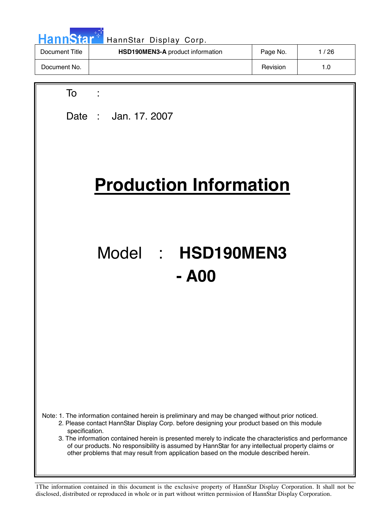| HannStar <sup>*</sup> | HannStar Display Corp.           |          |        |
|-----------------------|----------------------------------|----------|--------|
| Document Title        | HSD190MEN3-A product information | Page No. | 1 / 26 |
| Document No.          |                                  | Revision | 1.0    |

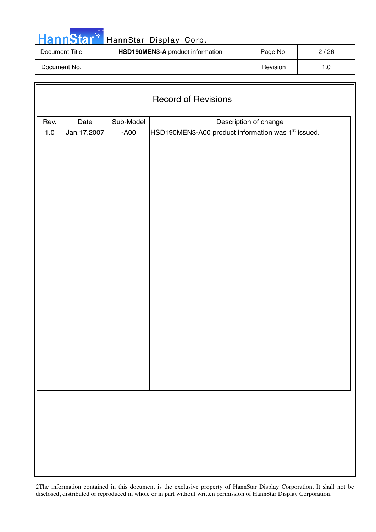

Г

# HannStar<sup>t HannStar Display Corp.</sup>

| Document Title | <b>HSD190MEN3-A</b> product information | Page No. | 2/26 |
|----------------|-----------------------------------------|----------|------|
| Document No.   |                                         | Revision |      |

|         | <b>Record of Revisions</b> |           |                                                                |  |  |  |  |
|---------|----------------------------|-----------|----------------------------------------------------------------|--|--|--|--|
| Rev.    | Date                       | Sub-Model | Description of change                                          |  |  |  |  |
| $1.0\,$ | Jan.17.2007                | $-A00$    | HSD190MEN3-A00 product information was 1 <sup>st</sup> issued. |  |  |  |  |
|         |                            |           |                                                                |  |  |  |  |
|         |                            |           |                                                                |  |  |  |  |
|         |                            |           |                                                                |  |  |  |  |
|         |                            |           |                                                                |  |  |  |  |
|         |                            |           |                                                                |  |  |  |  |
|         |                            |           |                                                                |  |  |  |  |
|         |                            |           |                                                                |  |  |  |  |
|         |                            |           |                                                                |  |  |  |  |
|         |                            |           |                                                                |  |  |  |  |
|         |                            |           |                                                                |  |  |  |  |
|         |                            |           |                                                                |  |  |  |  |
|         |                            |           |                                                                |  |  |  |  |
|         |                            |           |                                                                |  |  |  |  |
|         |                            |           |                                                                |  |  |  |  |
|         |                            |           |                                                                |  |  |  |  |
|         |                            |           |                                                                |  |  |  |  |
|         |                            |           |                                                                |  |  |  |  |
|         |                            |           |                                                                |  |  |  |  |
|         |                            |           |                                                                |  |  |  |  |
|         |                            |           |                                                                |  |  |  |  |
|         |                            |           |                                                                |  |  |  |  |
|         |                            |           |                                                                |  |  |  |  |
|         |                            |           |                                                                |  |  |  |  |
|         |                            |           |                                                                |  |  |  |  |
|         |                            |           |                                                                |  |  |  |  |
|         |                            |           |                                                                |  |  |  |  |
|         |                            |           |                                                                |  |  |  |  |
|         |                            |           |                                                                |  |  |  |  |
|         |                            |           |                                                                |  |  |  |  |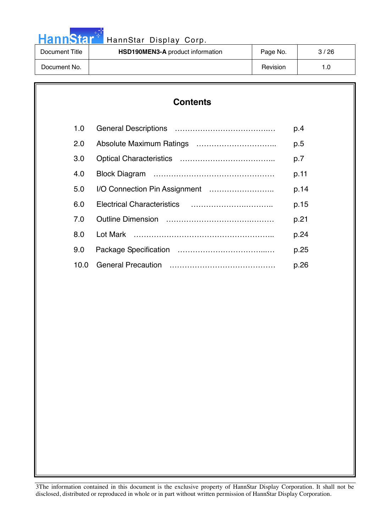# HannStar<sup>t HannStar Display Corp.</sup>

| Document Title | <b>HSD190MEN3-A</b> product information | Page No. | 3/26 |
|----------------|-----------------------------------------|----------|------|
| Document No.   |                                         | Revision |      |

### **Contents**

| 1.0 |      | p.4  |
|-----|------|------|
| 2.0 |      | p.5  |
| 3.0 |      | p.7  |
| 4.0 |      | p.11 |
| 5.0 |      | p.14 |
| 6.0 |      | p.15 |
| 7 O |      | p.21 |
| 8.0 |      | p.24 |
| 9.0 |      | p.25 |
|     | 10.0 | p.26 |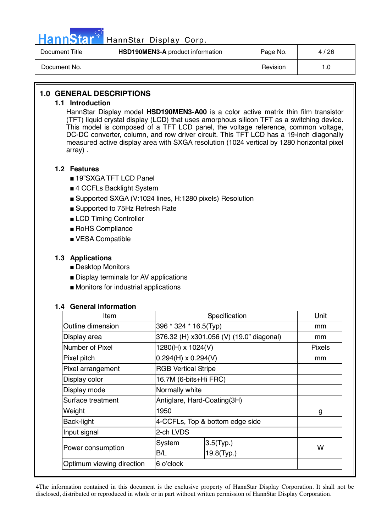

Г

### Hann Star<sup>47</sup> HannStar Display Corp.

| Document Title | <b>HSD190MEN3-A</b> product information | Page No. | 4/26 |
|----------------|-----------------------------------------|----------|------|
| Document No.   |                                         | Revision | ∣.0  |

### **1.0 GENERAL DESCRIPTIONS**

#### **1.1 Introduction**

HannStar Display model **HSD190MEN3-A00** is a color active matrix thin film transistor (TFT) liquid crystal display (LCD) that uses amorphous silicon TFT as a switching device. This model is composed of a TFT LCD panel, the voltage reference, common voltage, DC-DC converter, column, and row driver circuit. This TFT LCD has a 19-inch diagonally measured active display area with SXGA resolution (1024 vertical by 1280 horizontal pixel array) .

### **1.2 Features**

- 19"SXGA TFT LCD Panel
- 4 CCFLs Backlight System
- Supported SXGA (V:1024 lines, H:1280 pixels) Resolution
- Supported to 75Hz Refresh Rate
- LCD Timing Controller
- RoHS Compliance
- VESA Compatible

### **1.3 Applications**

- Desktop Monitors
- Display terminals for AV applications
- Monitors for industrial applications

### **1.4 General information**

| Item                      |                            | Specification                            |               |  |
|---------------------------|----------------------------|------------------------------------------|---------------|--|
| Outline dimension         | 396 * 324 * 16.5(Typ)      |                                          | mm            |  |
| Display area              |                            | 376.32 (H) x301.056 (V) (19.0" diagonal) | mm            |  |
| Number of Pixel           | 1280(H) x 1024(V)          |                                          | <b>Pixels</b> |  |
| Pixel pitch               | $0.294(H) \times 0.294(V)$ |                                          | mm            |  |
| Pixel arrangement         | <b>RGB Vertical Stripe</b> |                                          |               |  |
| Display color             |                            | 16.7M (6-bits+Hi FRC)                    |               |  |
| Display mode              |                            | Normally white                           |               |  |
| Surface treatment         |                            | Antiglare, Hard-Coating(3H)              |               |  |
| Weight                    | 1950                       |                                          | g             |  |
| Back-light                |                            | 4-CCFLs, Top & bottom edge side          |               |  |
| Input signal              | 2-ch LVDS                  |                                          |               |  |
|                           | System                     | $3.5$ (Typ.)                             | W             |  |
| Power consumption         | B/L                        | 19.8(Typ.)                               |               |  |
| Optimum viewing direction | 6 o'clock                  |                                          |               |  |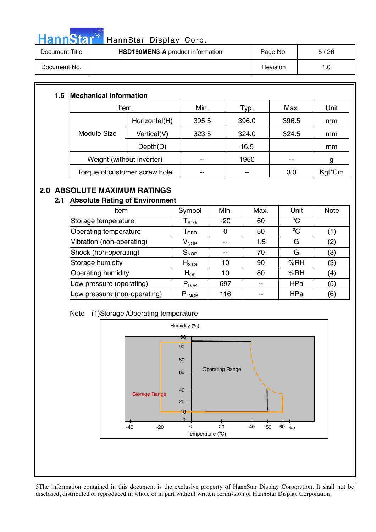

# HannStar<sup>t HannStar</sup> Display Corp.

| Document Title | <b>HSD190MEN3-A</b> product information | Page No. | 5/26 |
|----------------|-----------------------------------------|----------|------|
| Document No.   |                                         | Revision | 1.0  |

### **1.5 Mechanical Information**

| Item                          |                           | Min.  | Typ.  | Max.  | Unit   |  |
|-------------------------------|---------------------------|-------|-------|-------|--------|--|
|                               | Horizontal(H)             | 395.5 | 396.0 | 396.5 | mm     |  |
| <b>Module Size</b>            | Vertical(V)               | 323.5 | 324.0 | 324.5 | mm     |  |
|                               | Depth(D)                  |       | 16.5  |       | mm     |  |
|                               | Weight (without inverter) |       | 1950  |       | g      |  |
| Torque of customer screw hole |                           | --    | --    | 3.0   | Kgf*Cm |  |

### **2.0 ABSOLUTE MAXIMUM RATINGS**

### **2.1 Absolute Rating of Environment**

| Item                         | Symbol                       | Min.  | Max. | Unit        | <b>Note</b> |
|------------------------------|------------------------------|-------|------|-------------|-------------|
| Storage temperature          | ${\sf T}_{\text{STG}}$       | $-20$ | 60   | $^{\circ}C$ |             |
| Operating temperature        | ${\mathsf T}_{\textsf{OPR}}$ | 0     | 50   | $^{\circ}C$ | (1)         |
| Vibration (non-operating)    | $V_{\mathsf{NOP}}$           |       | 1.5  | G           | (2)         |
| Shock (non-operating)        | $S_{NOP}$                    | --    | 70   | G           | (3)         |
| Storage humidity             | H <sub>STG</sub>             | 10    | 90   | %RH         | (3)         |
| Operating humidity           | $H_{OP}$                     | 10    | 80   | %RH         | (4)         |
| Low pressure (operating)     | $P_{LOP}$                    | 697   | --   | HPa         | (5)         |
| Low pressure (non-operating) | $P_{LNOP}$                   | 116   | --   | HPa         | (6)         |

### Note (1)Storage /Operating temperature

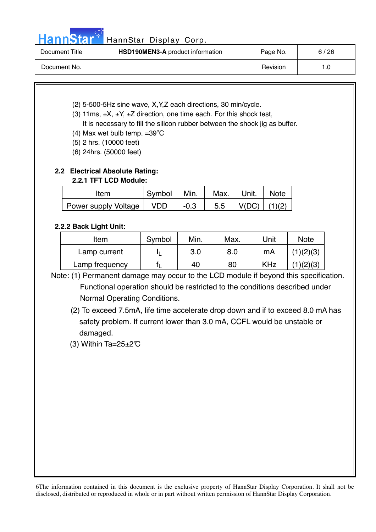### HannStar<sup>17</sup> HannStar Display Corp.

| Document Title | <b>HSD190MEN3-A</b> product information | Page No. | 6/26 |
|----------------|-----------------------------------------|----------|------|
| Document No.   |                                         | Revision | 1.0  |

- (2) 5-500-5Hz sine wave, X,Y,Z each directions, 30 min/cycle.
- (3) 11ms,  $\pm X$ ,  $\pm Y$ ,  $\pm Z$  direction, one time each. For this shock test, It is necessary to fill the silicon rubber between the shock jig as buffer.
- (4) Max wet bulb temp.  $=39^{\circ}$ C
	- (5) 2 hrs. (10000 feet)
	- (6) 24hrs. (50000 feet)

### **2.2 Electrical Absolute Rating: 2.2.1 TFT LCD Module:**

| Item                   | Symbol     | Min.   | Max. | Unit. | <b>Note</b> |
|------------------------|------------|--------|------|-------|-------------|
| Power supply Voltage I | <b>VDD</b> | $-0.3$ | 5.5  | V(DC) | (1)(2)      |

### **2.2.2 Back Light Unit:**

| Item           | Symbol | Min. | Max. | Unit       | <b>Note</b> |
|----------------|--------|------|------|------------|-------------|
| Lamp current   |        | 3.0  | 8.0  | mA         |             |
| Lamp frequency |        | 40   | 80   | <b>KHz</b> |             |

Note: (1) Permanent damage may occur to the LCD module if beyond this specification. Functional operation should be restricted to the conditions described under Normal Operating Conditions.

 (2) To exceed 7.5mA, life time accelerate drop down and if to exceed 8.0 mA has safety problem. If current lower than 3.0 mA, CCFL would be unstable or damaged.

(3) Within Ta= $25\pm2\text{°C}$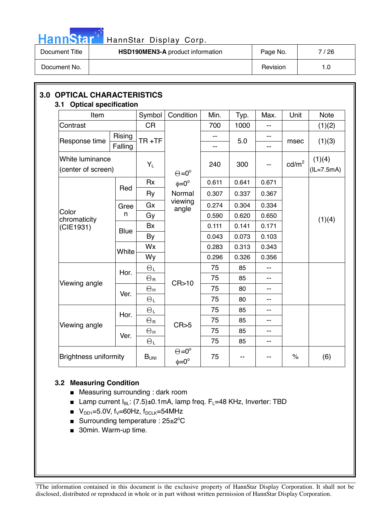

# HannStar<sup>t HannStar Display Corp.</sup>

| Document Title | HSD190MEN3-A product information | Page No. | ' 26 |
|----------------|----------------------------------|----------|------|
| Document No.   |                                  | Revision | 0. ا |

|                                                                             |                                                                                             | Condition                 | Min.                                                                              | Typ.  | Max.      | Unit            | <b>Note</b>            |  |  |
|-----------------------------------------------------------------------------|---------------------------------------------------------------------------------------------|---------------------------|-----------------------------------------------------------------------------------|-------|-----------|-----------------|------------------------|--|--|
|                                                                             | <b>CR</b>                                                                                   |                           | 700                                                                               | 1000  | --        |                 | (1)(2)                 |  |  |
| Rising<br>Response time<br>Falling<br>White luminance<br>(center of screen) |                                                                                             |                           | $-$<br>--                                                                         | 5.0   | $-$<br>-- | msec            | (1)(3)                 |  |  |
|                                                                             |                                                                                             |                           | 240                                                                               | 300   |           | $\text{cd/m}^2$ | (1)(4)<br>$(IL=7.5mA)$ |  |  |
|                                                                             | <b>Rx</b>                                                                                   | $\phi = 0^\circ$          | 0.611                                                                             | 0.641 | 0.671     |                 |                        |  |  |
|                                                                             | Ry                                                                                          | Normal                    | 0.307                                                                             | 0.337 | 0.367     |                 |                        |  |  |
| Gree                                                                        | Gx                                                                                          |                           | 0.274                                                                             | 0.304 | 0.334     |                 |                        |  |  |
| n                                                                           | Gy                                                                                          |                           | 0.590                                                                             | 0.620 | 0.650     |                 | (1)(4)                 |  |  |
|                                                                             | <b>Bx</b>                                                                                   |                           | 0.111                                                                             | 0.141 | 0.171     |                 |                        |  |  |
|                                                                             | By                                                                                          |                           | 0.043                                                                             | 0.073 | 0.103     |                 |                        |  |  |
|                                                                             | Wx                                                                                          |                           |                                                                                   |       | 0.283     | 0.313           | 0.343                  |  |  |
|                                                                             | Wy                                                                                          |                           | 0.296                                                                             | 0.326 | 0.356     |                 |                        |  |  |
|                                                                             | $\Theta_L$                                                                                  |                           | 75                                                                                | 85    | --        |                 |                        |  |  |
|                                                                             | $\Theta$ R                                                                                  |                           | 75                                                                                | 85    | --        |                 |                        |  |  |
|                                                                             | $\Theta$ н                                                                                  |                           | 75                                                                                | 80    | --        |                 |                        |  |  |
|                                                                             | $\Theta_L$                                                                                  |                           | 75                                                                                | 80    | --        |                 |                        |  |  |
|                                                                             | $\Theta_L$                                                                                  |                           | 75                                                                                | 85    | --        |                 |                        |  |  |
|                                                                             | $\Theta$ r                                                                                  |                           | 75                                                                                | 85    | --        |                 |                        |  |  |
|                                                                             | Өн                                                                                          |                           | 75                                                                                | 85    | --        |                 |                        |  |  |
|                                                                             | $\Theta_L$                                                                                  |                           | 75                                                                                | 85    | --        |                 |                        |  |  |
|                                                                             | Red<br><b>Blue</b><br>White<br>Hor.<br>Ver.<br>Hor.<br>Ver.<br><b>Brightness uniformity</b> | $Y_L$<br>B <sub>UNI</sub> | $\Theta = 0^{\circ}$<br>viewing<br>angle<br>CR>10<br>CR>5<br>$\Theta = 0^{\circ}$ | 75    |           |                 | $\%$                   |  |  |

### **3.2 Measuring Condition**

- Measuring surrounding : dark room
- **■** Lamp current  $I_{BL}$ : (7.5) $\pm$ 0.1mA, lamp freq.  $F_L$ =48 KHz, Inverter: TBD
- $V_{DD1}$ =5.0V, f<sub>V</sub>=60Hz, f<sub>DCLK</sub>=54MHz
- **Burrounding temperature : 25** $\pm$ **2°C**
- 30min. Warm-up time.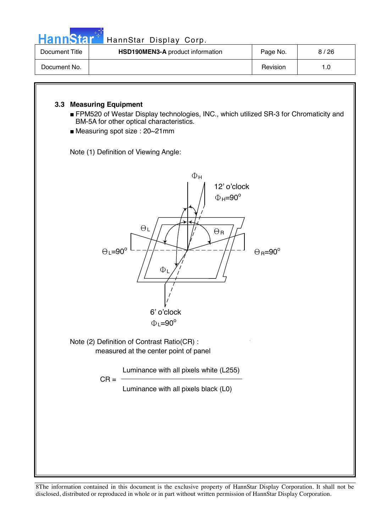| HannStar <sup>+</sup> | HannStar Display Corp.           |          |      |
|-----------------------|----------------------------------|----------|------|
| Document Title        | HSD190MEN3-A product information | Page No. | 8/26 |
| Document No.          |                                  | Revision | 1.0  |

### **3.3 Measuring Equipment**

- FPM520 of Westar Display technologies, INC., which utilized SR-3 for Chromaticity and BM-5A for other optical characteristics.
- Measuring spot size : 20~21mm

Note (1) Definition of Viewing Angle:

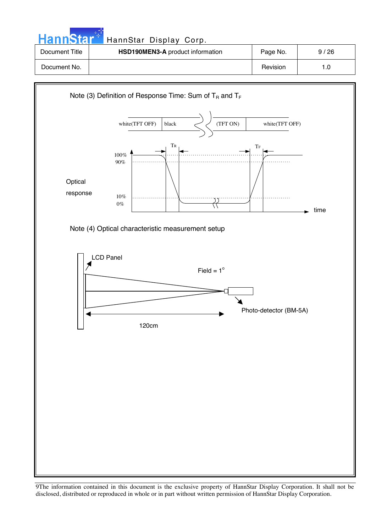| HannStar <sup>+</sup> | HannStar Display Corp.           |          |      |
|-----------------------|----------------------------------|----------|------|
| Document Title        | HSD190MEN3-A product information | Page No. | 9/26 |
| Document No.          |                                  | Revision | 1.0  |

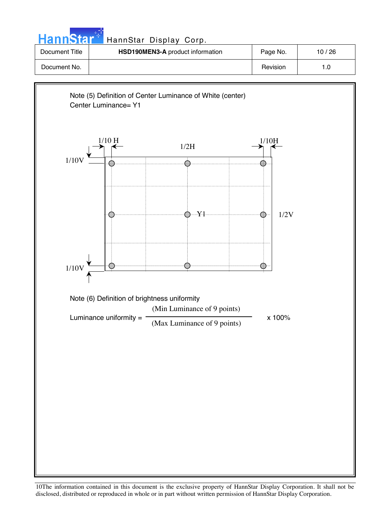| <b>HannStar</b> | HannStar Display Corp.           |          |       |
|-----------------|----------------------------------|----------|-------|
| Document Title  | HSD190MEN3-A product information | Page No. | 10/26 |
| Document No.    |                                  | Revision | 1.0   |
|                 |                                  |          |       |

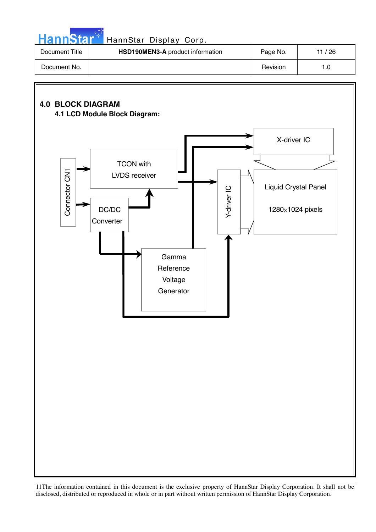|  |  | <b>HannStal</b> |  |
|--|--|-----------------|--|
|  |  |                 |  |
|  |  |                 |  |

### HannStar Display Corp.

| Document Title | <b>HSD190MEN3-A</b> product information | Page No. | 11 / 26 |
|----------------|-----------------------------------------|----------|---------|
| Document No.   |                                         | Revision | 1.0     |

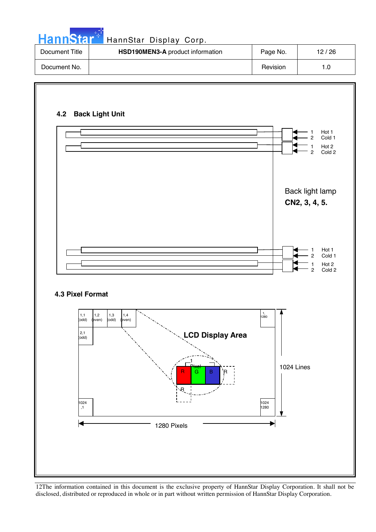| <b>HannStar</b> * | HannStar Display Corp.           |          |       |
|-------------------|----------------------------------|----------|-------|
| Document Title    | HSD190MEN3-A product information | Page No. | 12/26 |
| Document No.      |                                  | Revision | 1.0   |

والمستنبذ

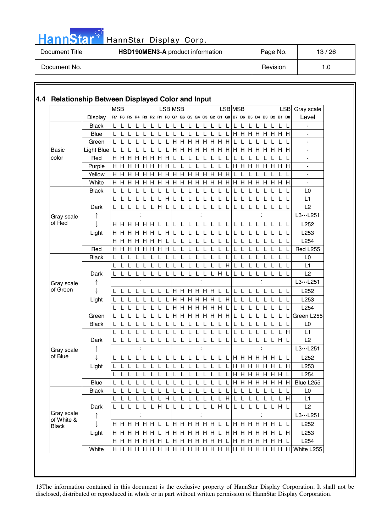|  |  | HannStar* |  |
|--|--|-----------|--|
|  |  |           |  |
|  |  |           |  |

### HannStar Display Corp.

| Document Title | HSD190MEN3-A product information | Page No. | 13/26 |
|----------------|----------------------------------|----------|-------|
| Document No.   |                                  | Revision | 1.U   |

|            |                   | <b>MSB</b> |     |     |                      |    |         |    |   | LSB MSB |              |              |                                                                         |   |              |     |     | LSB MSB |                |             |             |               |     |                 | <b>LSB</b>   | Gray scale               |
|------------|-------------------|------------|-----|-----|----------------------|----|---------|----|---|---------|--------------|--------------|-------------------------------------------------------------------------|---|--------------|-----|-----|---------|----------------|-------------|-------------|---------------|-----|-----------------|--------------|--------------------------|
|            | <b>Display</b>    |            |     |     |                      |    |         |    |   |         |              |              | R7 R6 R5 R4 R3 R2 R1 R0 G7 G6 G5 G4 G3 G2 G1 G0 B7 B6 B5 B4 B3 B2 B1 B0 |   |              |     |     |         |                |             |             |               |     |                 |              | Level                    |
|            | <b>Black</b>      |            |     |     |                      |    |         |    | L | L       |              |              |                                                                         |   |              |     |     |         |                |             |             |               |     |                 |              |                          |
|            | Blue              |            |     |     |                      |    |         |    |   |         |              |              |                                                                         |   |              |     |     |         |                |             |             |               |     | <b>HHHHHHH</b>  |              |                          |
|            | Green             |            |     |     |                      |    |         |    |   |         |              |              | <b>HHHHHHH</b>                                                          |   |              |     |     |         |                |             |             |               |     |                 |              | $\blacksquare$           |
| Basic      | Light Blue $ L L$ |            |     |     |                      |    |         |    |   |         |              |              |                                                                         |   |              |     |     |         |                |             |             |               |     |                 |              | $\blacksquare$           |
| color      | Red               |            | H H | H   | H                    | H. | H       | H  | H |         |              |              |                                                                         |   |              |     |     |         |                |             |             |               |     |                 |              | $\blacksquare$           |
|            | Purple            |            |     |     | <b>H H H H H H</b>   |    |         |    | H |         |              |              |                                                                         |   |              |     |     |         | <b>H H H H</b> |             |             |               |     | <b>HHHH</b>     |              |                          |
|            | Yellow            |            |     |     |                      |    |         |    |   |         |              |              |                                                                         |   |              |     |     |         |                |             |             |               |     |                 |              | $\overline{\phantom{a}}$ |
|            | White             |            |     |     | <b>H H H H H H H</b> |    |         |    |   |         |              |              | <b>HHHHHHHHHHHH</b>                                                     |   |              |     |     |         |                |             |             |               |     | $H$ H           | H            |                          |
|            | <b>Black</b>      |            |     |     |                      |    |         |    |   |         |              |              |                                                                         |   |              |     |     |         |                |             |             |               |     |                 |              | L <sub>0</sub>           |
|            |                   |            | L L |     |                      | L  |         | L. | H |         |              |              |                                                                         |   |              |     |     |         | L              | L           |             |               |     |                 |              | L1                       |
|            | Dark              |            |     |     | L L L L L H L        |    |         |    |   |         | LLLL         |              |                                                                         |   | LLLL         |     |     |         |                |             |             |               |     | L L L L L L L L |              | L2                       |
| Gray scale |                   |            |     |     |                      |    |         |    |   |         |              |              |                                                                         |   |              |     |     |         |                |             |             |               |     |                 |              | L3L251                   |
| of Red     |                   |            |     |     |                      |    |         |    |   |         |              |              | L L L                                                                   |   | L L L        |     | - L |         | L L            | L L         |             | - L           |     | <b>LLL</b>      |              | L252                     |
|            | Light             |            |     |     | <b>H H H H H L H</b> |    |         |    |   |         |              | $\mathbf{L}$ |                                                                         |   | L L          |     |     | L L     |                |             | L L         |               |     |                 |              | L <sub>253</sub>         |
|            |                   |            |     |     | <b>HHHHHH</b>        |    |         |    |   |         |              |              |                                                                         |   |              |     |     |         |                |             |             |               |     |                 | $\mathbf{L}$ | L254                     |
|            | Red               |            |     |     | <b>HHHHHHH</b>       |    |         |    |   |         |              |              |                                                                         |   |              |     |     |         |                |             |             |               |     |                 |              | <b>Red L255</b>          |
|            | <b>Black</b>      |            |     |     |                      |    |         |    |   |         |              |              |                                                                         |   |              |     |     |         |                |             |             |               |     |                 |              | L0                       |
|            |                   |            |     |     |                      | L  |         |    |   |         |              |              |                                                                         |   | $\mathbf{L}$ | L H |     |         |                |             |             |               |     |                 | $\mathsf{L}$ | L1                       |
|            | Dark              |            |     | L L | L                    | L  | L       |    | L |         |              |              |                                                                         | L |              | LHL |     |         |                |             |             |               |     |                 |              | L2                       |
| Gray scale |                   |            |     |     |                      |    |         |    |   |         |              |              |                                                                         |   |              |     |     |         |                |             |             |               |     |                 |              | L3L251                   |
| of Green   |                   |            | LLL |     |                      |    |         |    |   |         |              |              | L L L L L H H H H H H L L L L                                           |   |              |     |     |         |                | -L          | L           |               |     | L L             |              | L252                     |
|            | Light             |            |     | L L | L.                   |    | L L L L |    |   |         |              |              | H H H H H H L H L L                                                     |   |              |     |     |         |                | $\mathsf L$ | $\mathsf L$ | $\mathsf L$   | -L  | L L             |              | L253                     |
|            |                   |            | L   | - L |                      | L  |         |    | L |         |              |              | <b>HHHHHH</b>                                                           |   |              |     | L   |         | L              | L           |             | L             |     |                 |              | L254                     |
|            | Green             |            |     |     |                      |    |         |    |   |         |              |              | <b>H H H H H H H</b>                                                    |   |              |     |     |         |                |             |             |               |     |                 |              | Green L255               |
|            | <b>Black</b>      |            |     |     |                      |    |         |    |   |         |              |              |                                                                         |   |              |     |     |         |                |             |             |               |     |                 |              | L <sub>0</sub>           |
|            |                   |            |     |     |                      |    |         |    |   |         |              |              |                                                                         |   |              |     |     |         |                |             |             |               |     |                 | H            | L1                       |
|            | Dark              |            |     |     |                      |    |         |    |   |         |              |              |                                                                         |   |              |     |     |         |                |             |             |               |     | $H$ L           |              | L2                       |
| Gray scale |                   |            |     |     |                      |    |         |    |   |         |              |              | ÷                                                                       |   |              |     |     |         |                |             |             | ÷             |     |                 |              | $L3 \cdots L251$         |
| of Blue    |                   |            | LL  |     |                      | L  |         |    | L | L.      | $\mathbf{I}$ |              |                                                                         |   | LLL          |     | - L |         |                |             |             |               |     | H H H H H L L   |              | L252                     |
|            | Light             |            |     |     |                      |    |         |    |   |         |              |              |                                                                         |   |              |     |     |         | <b>H H H H</b> |             |             | н             |     |                 | H            | L253                     |
|            |                   |            | L   |     |                      |    |         |    |   |         |              |              |                                                                         |   |              |     |     |         |                |             |             | <b>HHHHHH</b> |     |                 |              | L254                     |
|            | Blue              |            |     |     |                      |    |         |    |   |         |              |              |                                                                         |   |              |     |     |         |                |             |             |               |     |                 |              |                          |
|            | <b>Black</b>      |            |     |     | L L L L L L L L      |    |         |    |   |         |              |              |                                                                         |   |              |     |     |         |                |             |             |               |     |                 |              | L <sub>0</sub>           |
|            |                   |            |     |     |                      |    |         |    |   |         |              |              | L L L L L L L H L L L L L L L H L L                                     |   |              |     |     |         |                | L L L       |             |               | - L | L H             |              | L1                       |
|            | Dark              |            |     |     | LLLLLLHL             |    |         |    |   |         |              |              | LLLLLLHL                                                                |   |              |     |     |         |                |             |             |               |     | L L L L L L H L |              | L2                       |
| Gray scale | ↑                 |            |     |     |                      |    |         |    |   |         |              |              |                                                                         |   |              |     |     |         |                |             |             |               |     |                 |              | L3L251                   |
| of White & |                   |            |     |     |                      |    |         |    |   |         |              |              |                                                                         |   |              |     |     |         |                |             |             |               |     |                 |              | L252                     |
| Black      | Light             |            |     |     |                      |    |         |    |   |         |              |              |                                                                         |   |              |     |     |         |                |             |             |               |     |                 |              | L253                     |
|            |                   |            |     |     |                      |    |         |    |   |         |              |              |                                                                         |   |              |     |     |         |                |             |             |               |     |                 |              | L254                     |
|            |                   |            |     |     |                      |    |         |    |   |         |              |              |                                                                         |   |              |     |     |         |                |             |             |               |     |                 |              |                          |
|            | White             |            |     |     |                      |    |         |    |   |         |              |              |                                                                         |   |              |     |     |         |                |             |             |               |     |                 |              |                          |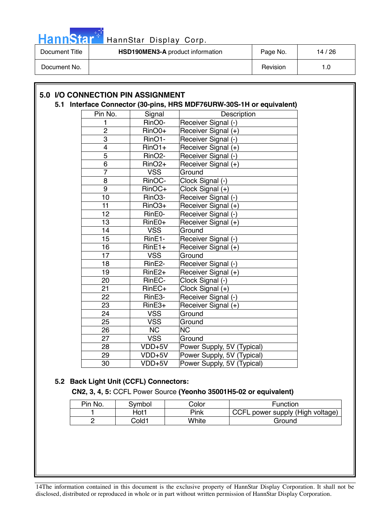

| Document Title | <b>HSD190MEN3-A</b> product information | Page No. | 14 / 26 |
|----------------|-----------------------------------------|----------|---------|
| Document No.   |                                         | Revision |         |

| Pin No.                 | Signal                 | Description                |  |
|-------------------------|------------------------|----------------------------|--|
| 1                       | RinO0-                 | Receiver Signal (-)        |  |
| $\overline{c}$          | RinO0+                 | Receiver Signal (+)        |  |
| 3                       | RinO1-                 | Receiver Signal (-)        |  |
| $\overline{\mathbf{4}}$ | $RinO1+$               | Receiver Signal (+)        |  |
| $\overline{5}$          | RinO <sub>2</sub> -    | Receiver Signal (-)        |  |
| $\overline{6}$          | $RinO2+$               | Receiver Signal (+)        |  |
| $\overline{7}$          | <b>VSS</b>             | Ground                     |  |
| 8                       | RinOC-                 | Clock Signal (-)           |  |
| $\overline{9}$          | RinOC+                 | Clock Signal (+)           |  |
| 10                      | RinO <sub>3</sub> -    | Receiver Signal (-)        |  |
| 11                      | $RinO3+$               | Receiver Signal (+)        |  |
| 12                      | RinE0-                 | Receiver Signal (-)        |  |
| 13                      | RinE0+                 | Receiver Signal (+)        |  |
| 14                      | <b>VSS</b>             | Ground                     |  |
| 15                      | RinE1-                 | Receiver Signal (-)        |  |
| 16                      | $RinE1+$               | Receiver Signal (+)        |  |
| 17                      | <b>VSS</b>             | Ground                     |  |
| 18                      | RinE2-                 | Receiver Signal (-)        |  |
| 19                      | $RinE2+$               | Receiver Signal (+)        |  |
| 20                      | RinEC-                 | Clock Signal (-)           |  |
| 21                      | $RinEC+$               | Clock Signal (+)           |  |
| 22                      | RinE3-                 | Receiver Signal (-)        |  |
| 23                      | $RinE3+$               | Receiver Signal (+)        |  |
| 24                      | <b>VSS</b>             | Ground                     |  |
| 25                      | <b>VSS</b>             | Ground                     |  |
| 26                      | $\overline{\text{NC}}$ | $\overline{\text{NC}}$     |  |
| 27                      | <b>VSS</b>             | Ground                     |  |
| 28                      | VDD+5V                 | Power Supply, 5V (Typical) |  |
| 29                      | VDD+5V                 | Power Supply, 5V (Typical) |  |
| 30                      | VDD+5V                 | Power Supply, 5V (Typical) |  |

### **5.2 Back Light Unit (CCFL) Connectors:**

**CN2, 3, 4, 5:** CCFL Power Source **(Yeonho 35001H5-02 or equivalent)**

| Pin No. | Symbol | Color | Function                         |
|---------|--------|-------|----------------------------------|
|         | Hot1   | Pink  | CCFL power supply (High voltage) |
|         | Cold1  | White | Ground                           |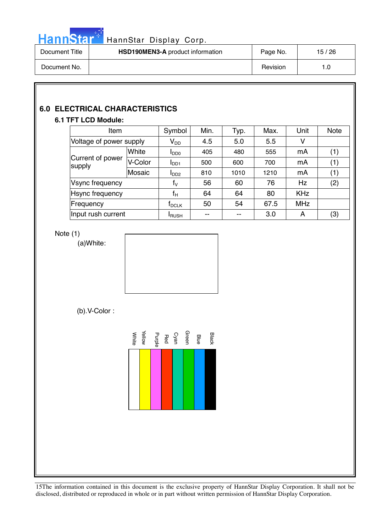

# HannStar<sup>th</sup> HannStar Display Corp.

| Document Title | <b>HSD190MEN3-A</b> product information | Page No. | 15/26 |
|----------------|-----------------------------------------|----------|-------|
| Document No.   |                                         | Revision |       |

### **6.0 ELECTRICAL CHARACTERISTICS**

### **6.1 TFT LCD Module:**

| Item                       |         | Symbol                     | Min. | Typ. | Max. | Unit       | <b>Note</b> |
|----------------------------|---------|----------------------------|------|------|------|------------|-------------|
| Voltage of power supply    |         | $\mathsf{V}_{\mathsf{DD}}$ | 4.5  | 5.0  | 5.5  | ٧          |             |
| Current of power<br>supply | White   | $I_{DD0}$                  | 405  | 480  | 555  | mA         | (1)         |
|                            | V-Color | I <sub>DD1</sub>           | 500  | 600  | 700  | mA         | (1)         |
|                            | Mosaic  | I <sub>DD2</sub>           | 810  | 1010 | 1210 | mA         | (1)         |
| Vsync frequency            |         | $f_V$                      | 56   | 60   | 76   | <b>Hz</b>  | (2)         |
| Hsync frequency            |         | $f_H$                      | 64   | 64   | 80   | <b>KHz</b> |             |
| Frequency                  |         | $\sf{f}_{\sf DCK}$         | 50   | 54   | 67.5 | <b>MHz</b> |             |
| Input rush current         |         | <b>I</b> RUSH              | --   | --   | 3.0  | A          | (3)         |

### Note (1)

(a)White:



### (b).V-Color :

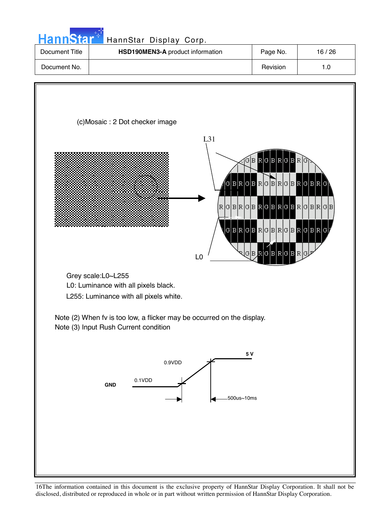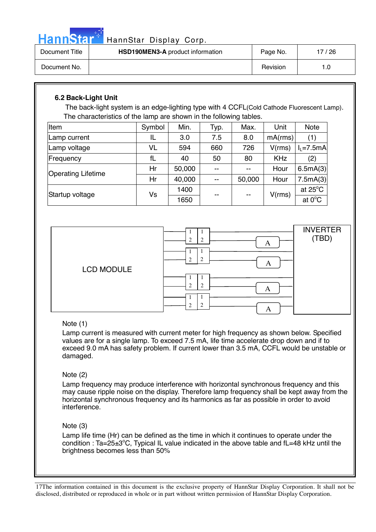HannStar<sup>®</sup>

### HannStar Display Corp.

| Document Title | <b>HSD190MEN3-A</b> product information | Page No. | 17/26 |
|----------------|-----------------------------------------|----------|-------|
| Document No.   |                                         | Revision |       |

### **6.2 Back-Light Unit**

The back-light system is an edge-lighting type with 4 CCFL(Cold Cathode Fluorescent Lamp). The characteristics of the lamp are shown in the following tables.

| Item                      | Symbol | Min.   | Typ.  | Max.   | Unit       | <b>Note</b>       |
|---------------------------|--------|--------|-------|--------|------------|-------------------|
| Lamp current              | IL     | 3.0    | 7.5   | 8.0    | mA(rms)    | (1)               |
| Lamp voltage              | VL     | 594    | 660   | 726    | V(rms)     | $I_L = 7.5mA$     |
| Frequency                 | fL     | 40     | 50    | 80     | <b>KHz</b> | (2)               |
| <b>Operating Lifetime</b> | Hr     | 50,000 | $-$   | --     | Hour       | 6.5mA(3)          |
|                           | Hr     | 40,000 | $- -$ | 50,000 | Hour       | 7.5mA(3)          |
| Startup voltage           |        | 1400   |       |        |            | at $25^{\circ}$ C |
|                           | Vs     | 1650   | --    | --     | V(rms)     | at $0^{\circ}$ C  |



### Note (1)

Lamp current is measured with current meter for high frequency as shown below. Specified values are for a single lamp. To exceed 7.5 mA, life time accelerate drop down and if to exceed 9.0 mA has safety problem. If current lower than 3.5 mA, CCFL would be unstable or damaged.

### Note (2)

Lamp frequency may produce interference with horizontal synchronous frequency and this may cause ripple noise on the display. Therefore lamp frequency shall be kept away from the horizontal synchronous frequency and its harmonics as far as possible in order to avoid interference.

### Note (3)

Lamp life time (Hr) can be defined as the time in which it continues to operate under the condition : Ta=25 $\pm$ 3°C, Typical IL value indicated in the above table and fL=48 kHz until the brightness becomes less than 50%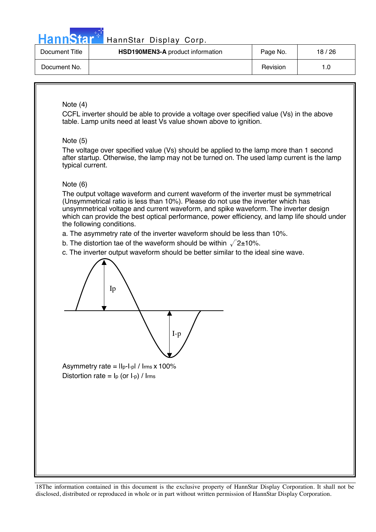

### HannStar<sup>4</sup> HannStar Display Corp.

| Document Title | <b>HSD190MEN3-A</b> product information | Page No. | 18/26 |
|----------------|-----------------------------------------|----------|-------|
| Document No.   |                                         | Revision |       |

### Note (4)

CCFL inverter should be able to provide a voltage over specified value (Vs) in the above table. Lamp units need at least Vs value shown above to ignition.

### Note (5)

The voltage over specified value (Vs) should be applied to the lamp more than 1 second after startup. Otherwise, the lamp may not be turned on. The used lamp current is the lamp typical current.

### Note (6)

The output voltage waveform and current waveform of the inverter must be symmetrical (Unsymmetrical ratio is less than 10%). Please do not use the inverter which has unsymmetrical voltage and current waveform, and spike waveform. The inverter design which can provide the best optical performance, power efficiency, and lamp life should under the following conditions.

- a. The asymmetry rate of the inverter waveform should be less than 10%.
- b. The distortion tae of the waveform should be within  $\sqrt{2}$ ±10%.
- c. The inverter output waveform should be better similar to the ideal sine wave.



Asymmetry rate =  $\text{II}_{p}\text{-I}_{p}$  /  $\text{I}_{rms} \times 100\%$ Distortion rate =  $I_p$  (or  $I_p$ ) / Irms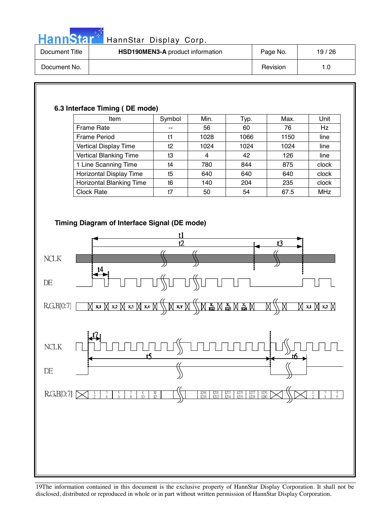

# HannStar<sup>t HannStar Display Corp.</sup>

| Document Title | HSD190MEN3-A product information | Page No. | 19 / 26 |
|----------------|----------------------------------|----------|---------|
| Document No.   |                                  | Revision | 1.0     |

| Item                                                                                               | Symbol              | Min.                                                                        | Typ.                                                                                               | Max. | Unit          |
|----------------------------------------------------------------------------------------------------|---------------------|-----------------------------------------------------------------------------|----------------------------------------------------------------------------------------------------|------|---------------|
| Frame Rate                                                                                         | 44                  | 56                                                                          | 60                                                                                                 | 76   | Hz            |
| <b>Frame Period</b>                                                                                | t1                  | 1028                                                                        | 1066                                                                                               | 1150 | line          |
| Vertical Display Time                                                                              | t2                  | 1024                                                                        | 1024                                                                                               | 1024 | line          |
| Vertical Blanking Time                                                                             | t3                  | $\overline{4}$                                                              | 42                                                                                                 | 126  | line          |
| 1 Line Scanning Time                                                                               | t4                  | 780                                                                         | 844                                                                                                | 875  | clock         |
| Horizontal Display Time                                                                            | t5                  | 640                                                                         | 640                                                                                                | 640  | clock         |
| Horizontal Blanking Time                                                                           | t6                  | 140                                                                         | 204                                                                                                | 235  | clock         |
| Clock Rate                                                                                         | t7                  | 50                                                                          | 54                                                                                                 | 67.5 | <b>MHz</b>    |
|                                                                                                    | t1<br>t2            |                                                                             |                                                                                                    | t3   |               |
|                                                                                                    |                     |                                                                             |                                                                                                    |      |               |
| <b>NCLK</b>                                                                                        |                     |                                                                             |                                                                                                    |      |               |
| t4                                                                                                 |                     |                                                                             |                                                                                                    |      |               |
|                                                                                                    |                     |                                                                             |                                                                                                    |      |               |
| R, G, B[0.7]<br>$\bigvee$ x,1 $\bigvee$ x,2 $\bigvee$ x,3 $\bigvee$ x,4                            | $\Join$ x.y $\Join$ |                                                                             | $\boxtimes$ $\boxtimes$ $\boxtimes$ $\boxtimes$ $\boxtimes$ $\boxtimes$ $\boxtimes$                |      | M x,1 M x,2 M |
|                                                                                                    |                     |                                                                             |                                                                                                    |      |               |
| <b>NCLK</b>                                                                                        |                     |                                                                             |                                                                                                    | 16   |               |
|                                                                                                    |                     |                                                                             |                                                                                                    |      |               |
|                                                                                                    |                     |                                                                             |                                                                                                    |      |               |
| R,G,B[0:7] [<br>$\frac{9}{10}$<br>$\frac{5}{6}$<br>$\frac{3}{4}$<br>$\frac{7}{8}$<br>$\frac{1}{2}$ | $\frac{11}{12}$     | $\begin{array}{c c c} 1269 & 1271 & 1273 \\ 1270 & 1272 & 1274 \end{array}$ | $\begin{array}{ c c c c }\n\hline\n1275 & 1277 \\ 1276 & 1278\n\end{array}$<br>$\frac{1279}{1280}$ |      | $\frac{5}{6}$ |
|                                                                                                    |                     |                                                                             |                                                                                                    |      |               |
|                                                                                                    |                     |                                                                             |                                                                                                    |      |               |
|                                                                                                    |                     |                                                                             |                                                                                                    |      |               |
|                                                                                                    |                     |                                                                             |                                                                                                    |      |               |
|                                                                                                    |                     |                                                                             |                                                                                                    |      |               |
|                                                                                                    |                     |                                                                             |                                                                                                    |      |               |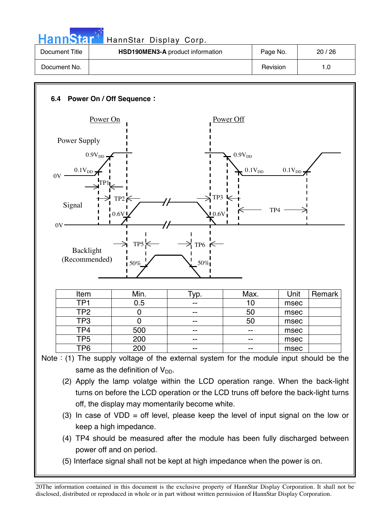| HannStar T     | HannStar Display Corp.                  |          |       |
|----------------|-----------------------------------------|----------|-------|
| Document Title | <b>HSD190MEN3-A</b> product information | Page No. | 20/26 |
| Document No.   |                                         | Revision | 1.0   |

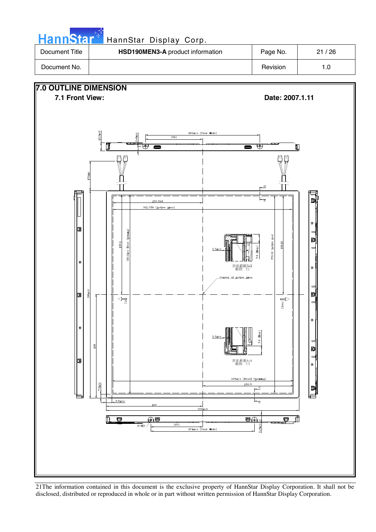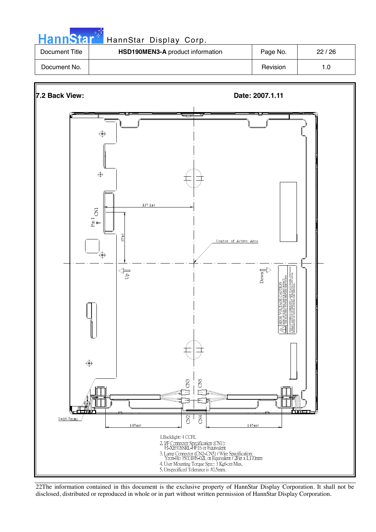| <b>HannStar</b> * | HannStar Display Corp.           |          |       |
|-------------------|----------------------------------|----------|-------|
| Document Title    | HSD190MEN3-A product information | Page No. | 22/26 |
| Document No.      |                                  | Revision | 1.0   |

والمراد



22The information contained in this document is the exclusive property of HannStar Display Corporation. It shall not be disclosed, distributed or reproduced in whole or in part without written permission of HannStar Display Corporation.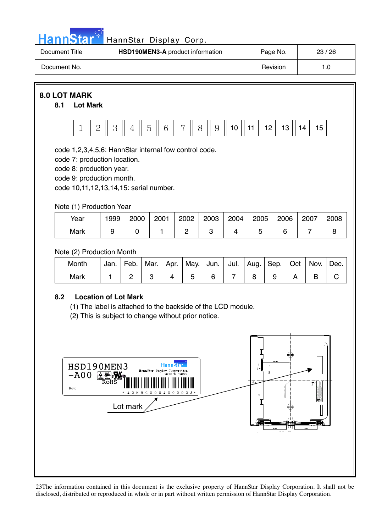

# HannStar<sup>#</sup> HannStar Display Corp.

| Document Title | <b>HSD190MEN3-A</b> product information | Page No. | 23/26 |
|----------------|-----------------------------------------|----------|-------|
| Document No.   |                                         | Revision |       |

### **8.0 LOT MARK**

### **8.1 Lot Mark**



code 1,2,3,4,5,6: HannStar internal fow control code.

code 7: production location.

code 8: production year.

code 9: production month.

code 10,11,12,13,14,15: serial number.

### Note (1) Production Year

| Year | 1999 | 2000 | 2001 | 2002 | 2003 | 2004 | 2005 | 2006 | 2007 | 2008 |
|------|------|------|------|------|------|------|------|------|------|------|
| Mark |      |      |      |      |      |      |      |      |      |      |

### Note (2) Production Month

| Month | Jan. | Feb. | Mar. | Apr. | May. | Jun. Jul. | ∣ Aug. I | Sep.   Oct | Nov. | Dec. |
|-------|------|------|------|------|------|-----------|----------|------------|------|------|
| Mark  |      |      |      |      |      |           |          |            |      |      |

### **8.2 Location of Lot Mark**

(1) The label is attached to the backside of the LCD module.

(2) This is subject to change without prior notice.

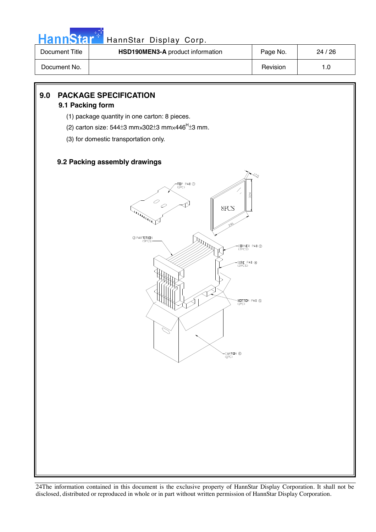

# HannStar<sup>t HannStar Display Corp.</sup>

| Document Title | HSD190MEN3-A product information | Page No. | 24/26 |
|----------------|----------------------------------|----------|-------|
| Document No.   |                                  | Revision |       |

### **9.0 PACKAGE SPECIFICATION**

### **9.1 Packing form**

- (1) package quantity in one carton: 8 pieces.
- (2) carton size:  $544\pm 3$  mm $\times 302\pm 3$  mm $\times 446$ <sup>H</sup> $\pm 3$  mm.
- (3) for domestic transportation only.

### **9.2 Packing assembly drawings**

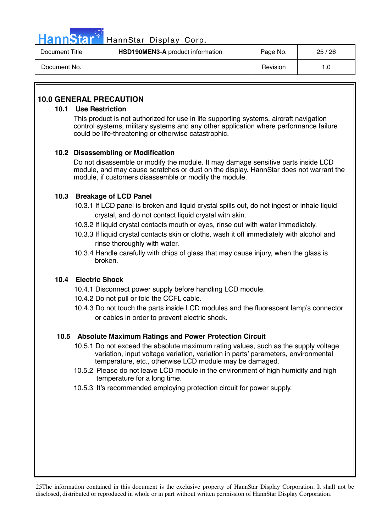

### HannStar<sup>1</sup> HannStar Display Corp.

| Document Title | <b>HSD190MEN3-A</b> product information | Page No. | 25/26 |
|----------------|-----------------------------------------|----------|-------|
| Document No.   |                                         | Revision |       |

### **10.0 GENERAL PRECAUTION**

### **10.1 Use Restriction**

This product is not authorized for use in life supporting systems, aircraft navigation control systems, military systems and any other application where performance failure could be life-threatening or otherwise catastrophic.

### **10.2 Disassembling or Modification**

Do not disassemble or modify the module. It may damage sensitive parts inside LCD module, and may cause scratches or dust on the display. HannStar does not warrant the module, if customers disassemble or modify the module.

### **10.3 Breakage of LCD Panel**

- 10.3.1 If LCD panel is broken and liquid crystal spills out, do not ingest or inhale liquid crystal, and do not contact liquid crystal with skin.
- 10.3.2 If liquid crystal contacts mouth or eyes, rinse out with water immediately.
- 10.3.3 If liquid crystal contacts skin or cloths, wash it off immediately with alcohol and rinse thoroughly with water.
- 10.3.4 Handle carefully with chips of glass that may cause injury, when the glass is broken.

### **10.4 Electric Shock**

- 10.4.1 Disconnect power supply before handling LCD module.
- 10.4.2 Do not pull or fold the CCFL cable.
- 10.4.3 Do not touch the parts inside LCD modules and the fluorescent lamp's connector or cables in order to prevent electric shock.

### **10.5 Absolute Maximum Ratings and Power Protection Circuit**

- 10.5.1 Do not exceed the absolute maximum rating values, such as the supply voltage variation, input voltage variation, variation in parts' parameters, environmental temperature, etc., otherwise LCD module may be damaged.
- 10.5.2 Please do not leave LCD module in the environment of high humidity and high temperature for a long time.
- 10.5.3 It's recommended employing protection circuit for power supply.